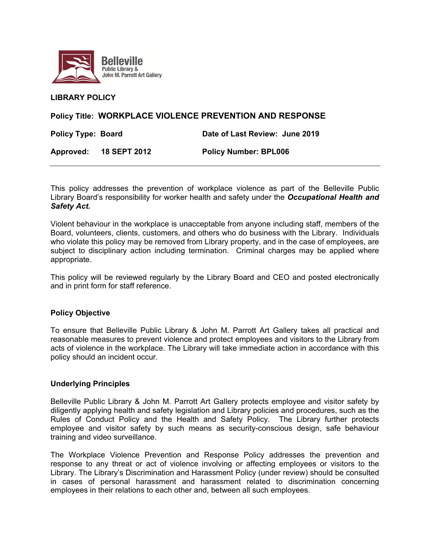

#### **LIBRARY POLICY**

## **Policy Title: WORKPLACE VIOLENCE PREVENTION AND RESPONSE**

**Policy Type: Board Date of Last Review: June 2019** 

**Approved: 18 SEPT 2012 Policy Number: BPL006** 

This policy addresses the prevention of workplace violence as part of the Belleville Public Library Board's responsibility for worker health and safety under the *Occupational Health and Safety Act.*

Violent behaviour in the workplace is unacceptable from anyone including staff, members of the Board, volunteers, clients, customers, and others who do business with the Library. Individuals who violate this policy may be removed from Library property, and in the case of employees, are subject to disciplinary action including termination. Criminal charges may be applied where appropriate.

This policy will be reviewed regularly by the Library Board and CEO and posted electronically and in print form for staff reference.

#### **Policy Objective**

To ensure that Belleville Public Library & John M. Parrott Art Gallery takes all practical and reasonable measures to prevent violence and protect employees and visitors to the Library from acts of violence in the workplace. The Library will take immediate action in accordance with this policy should an incident occur.

#### **Underlying Principles**

Belleville Public Library & John M. Parrott Art Gallery protects employee and visitor safety by diligently applying health and safety legislation and Library policies and procedures, such as the Rules of Conduct Policy and the Health and Safety Policy. The Library further protects employee and visitor safety by such means as security-conscious design, safe behaviour training and video surveillance.

The Workplace Violence Prevention and Response Policy addresses the prevention and response to any threat or act of violence involving or affecting employees or visitors to the Library. The Library's Discrimination and Harassment Policy (under review) should be consulted in cases of personal harassment and harassment related to discrimination concerning employees in their relations to each other and, between all such employees.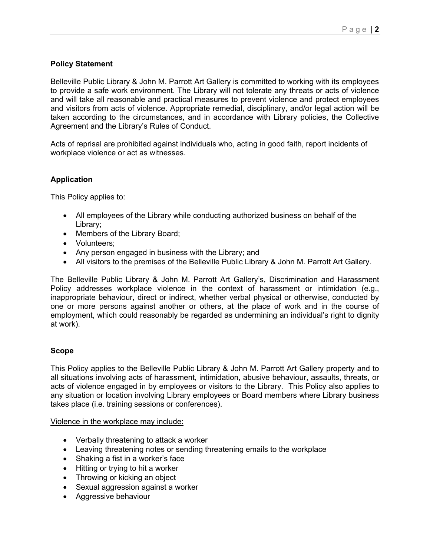# **Policy Statement**

Belleville Public Library & John M. Parrott Art Gallery is committed to working with its employees to provide a safe work environment. The Library will not tolerate any threats or acts of violence and will take all reasonable and practical measures to prevent violence and protect employees and visitors from acts of violence. Appropriate remedial, disciplinary, and/or legal action will be taken according to the circumstances, and in accordance with Library policies, the Collective Agreement and the Library's Rules of Conduct.

Acts of reprisal are prohibited against individuals who, acting in good faith, report incidents of workplace violence or act as witnesses.

# **Application**

This Policy applies to:

- All employees of the Library while conducting authorized business on behalf of the Library;
- Members of the Library Board;
- Volunteers:
- Any person engaged in business with the Library; and
- All visitors to the premises of the Belleville Public Library & John M. Parrott Art Gallery.

The Belleville Public Library & John M. Parrott Art Gallery's, Discrimination and Harassment Policy addresses workplace violence in the context of harassment or intimidation (e.g., inappropriate behaviour, direct or indirect, whether verbal physical or otherwise, conducted by one or more persons against another or others, at the place of work and in the course of employment, which could reasonably be regarded as undermining an individual's right to dignity at work).

## **Scope**

This Policy applies to the Belleville Public Library & John M. Parrott Art Gallery property and to all situations involving acts of harassment, intimidation, abusive behaviour, assaults, threats, or acts of violence engaged in by employees or visitors to the Library. This Policy also applies to any situation or location involving Library employees or Board members where Library business takes place (i.e. training sessions or conferences).

Violence in the workplace may include:

- Verbally threatening to attack a worker
- Leaving threatening notes or sending threatening emails to the workplace
- Shaking a fist in a worker's face
- Hitting or trying to hit a worker
- Throwing or kicking an object
- Sexual aggression against a worker
- Aggressive behaviour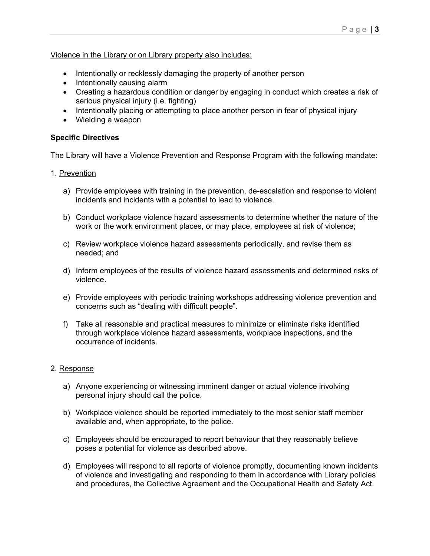## Violence in the Library or on Library property also includes:

- Intentionally or recklessly damaging the property of another person
- Intentionally causing alarm
- Creating a hazardous condition or danger by engaging in conduct which creates a risk of serious physical injury (i.e. fighting)
- Intentionally placing or attempting to place another person in fear of physical injury
- Wielding a weapon

## **Specific Directives**

The Library will have a Violence Prevention and Response Program with the following mandate:

- 1. Prevention
	- a) Provide employees with training in the prevention, de-escalation and response to violent incidents and incidents with a potential to lead to violence.
	- b) Conduct workplace violence hazard assessments to determine whether the nature of the work or the work environment places, or may place, employees at risk of violence;
	- c) Review workplace violence hazard assessments periodically, and revise them as needed; and
	- d) Inform employees of the results of violence hazard assessments and determined risks of violence.
	- e) Provide employees with periodic training workshops addressing violence prevention and concerns such as "dealing with difficult people".
	- f) Take all reasonable and practical measures to minimize or eliminate risks identified through workplace violence hazard assessments, workplace inspections, and the occurrence of incidents.

## 2. Response

- a) Anyone experiencing or witnessing imminent danger or actual violence involving personal injury should call the police.
- b) Workplace violence should be reported immediately to the most senior staff member available and, when appropriate, to the police.
- c) Employees should be encouraged to report behaviour that they reasonably believe poses a potential for violence as described above.
- d) Employees will respond to all reports of violence promptly, documenting known incidents of violence and investigating and responding to them in accordance with Library policies and procedures, the Collective Agreement and the Occupational Health and Safety Act.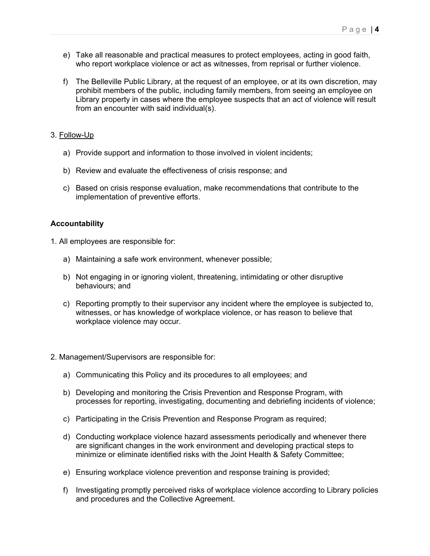- e) Take all reasonable and practical measures to protect employees, acting in good faith, who report workplace violence or act as witnesses, from reprisal or further violence.
- f) The Belleville Public Library, at the request of an employee, or at its own discretion, may prohibit members of the public, including family members, from seeing an employee on Library property in cases where the employee suspects that an act of violence will result from an encounter with said individual(s).

### 3. Follow-Up

- a) Provide support and information to those involved in violent incidents;
- b) Review and evaluate the effectiveness of crisis response; and
- c) Based on crisis response evaluation, make recommendations that contribute to the implementation of preventive efforts.

#### **Accountability**

- 1. All employees are responsible for:
	- a) Maintaining a safe work environment, whenever possible;
	- b) Not engaging in or ignoring violent, threatening, intimidating or other disruptive behaviours; and
	- c) Reporting promptly to their supervisor any incident where the employee is subjected to, witnesses, or has knowledge of workplace violence, or has reason to believe that workplace violence may occur.
- 2. Management/Supervisors are responsible for:
	- a) Communicating this Policy and its procedures to all employees; and
	- b) Developing and monitoring the Crisis Prevention and Response Program, with processes for reporting, investigating, documenting and debriefing incidents of violence;
	- c) Participating in the Crisis Prevention and Response Program as required;
	- d) Conducting workplace violence hazard assessments periodically and whenever there are significant changes in the work environment and developing practical steps to minimize or eliminate identified risks with the Joint Health & Safety Committee;
	- e) Ensuring workplace violence prevention and response training is provided;
	- f) Investigating promptly perceived risks of workplace violence according to Library policies and procedures and the Collective Agreement.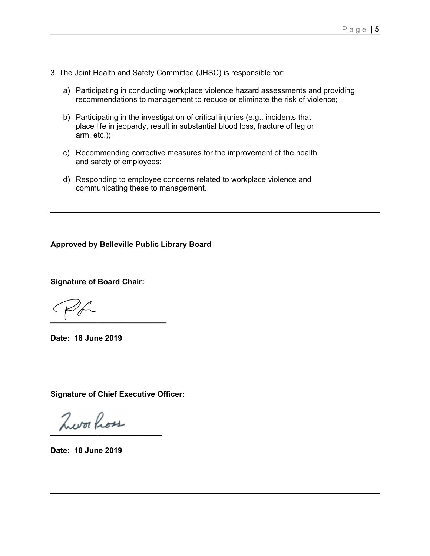- 3. The Joint Health and Safety Committee (JHSC) is responsible for:
	- a) Participating in conducting workplace violence hazard assessments and providing recommendations to management to reduce or eliminate the risk of violence;
	- b) Participating in the investigation of critical injuries (e.g., incidents that place life in jeopardy, result in substantial blood loss, fracture of leg or arm, etc.);
	- c) Recommending corrective measures for the improvement of the health and safety of employees;
	- d) Responding to employee concerns related to workplace violence and communicating these to management.

**Approved by Belleville Public Library Board** 

**Signature of Board Chair:** 

**\_\_\_\_\_\_\_\_\_\_\_\_\_\_\_\_\_\_\_\_\_\_\_\_\_\_\_** 

**Date: 18 June 2019** 

**Signature of Chief Executive Officer:** 

 $\lambda$ workou

**Date: 18 June 2019**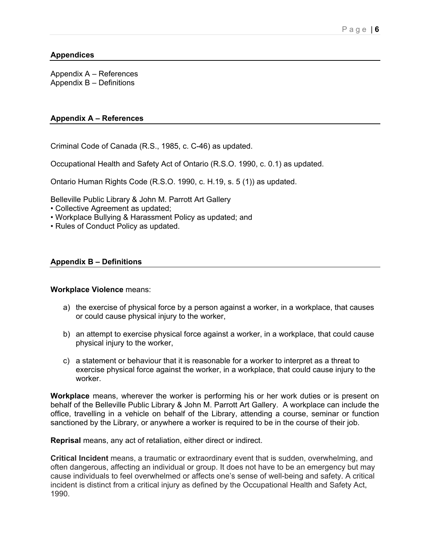## **Appendices**

Appendix A – References Appendix B – Definitions

### **Appendix A – References**

Criminal Code of Canada (R.S., 1985, c. C-46) as updated.

Occupational Health and Safety Act of Ontario (R.S.O. 1990, c. 0.1) as updated.

Ontario Human Rights Code (R.S.O. 1990, c. H.19, s. 5 (1)) as updated.

Belleville Public Library & John M. Parrott Art Gallery

- Collective Agreement as updated;
- Workplace Bullying & Harassment Policy as updated; and
- Rules of Conduct Policy as updated.

#### **Appendix B – Definitions**

#### **Workplace Violence** means:

- a) the exercise of physical force by a person against a worker, in a workplace, that causes or could cause physical injury to the worker,
- b) an attempt to exercise physical force against a worker, in a workplace, that could cause physical injury to the worker,
- c) a statement or behaviour that it is reasonable for a worker to interpret as a threat to exercise physical force against the worker, in a workplace, that could cause injury to the worker.

**Workplace** means, wherever the worker is performing his or her work duties or is present on behalf of the Belleville Public Library & John M. Parrott Art Gallery. A workplace can include the office, travelling in a vehicle on behalf of the Library, attending a course, seminar or function sanctioned by the Library, or anywhere a worker is required to be in the course of their job.

**Reprisal** means, any act of retaliation, either direct or indirect.

**Critical Incident** means, a traumatic or extraordinary event that is sudden, overwhelming, and often dangerous, affecting an individual or group. It does not have to be an emergency but may cause individuals to feel overwhelmed or affects one's sense of well-being and safety. A critical incident is distinct from a critical injury as defined by the Occupational Health and Safety Act, 1990.